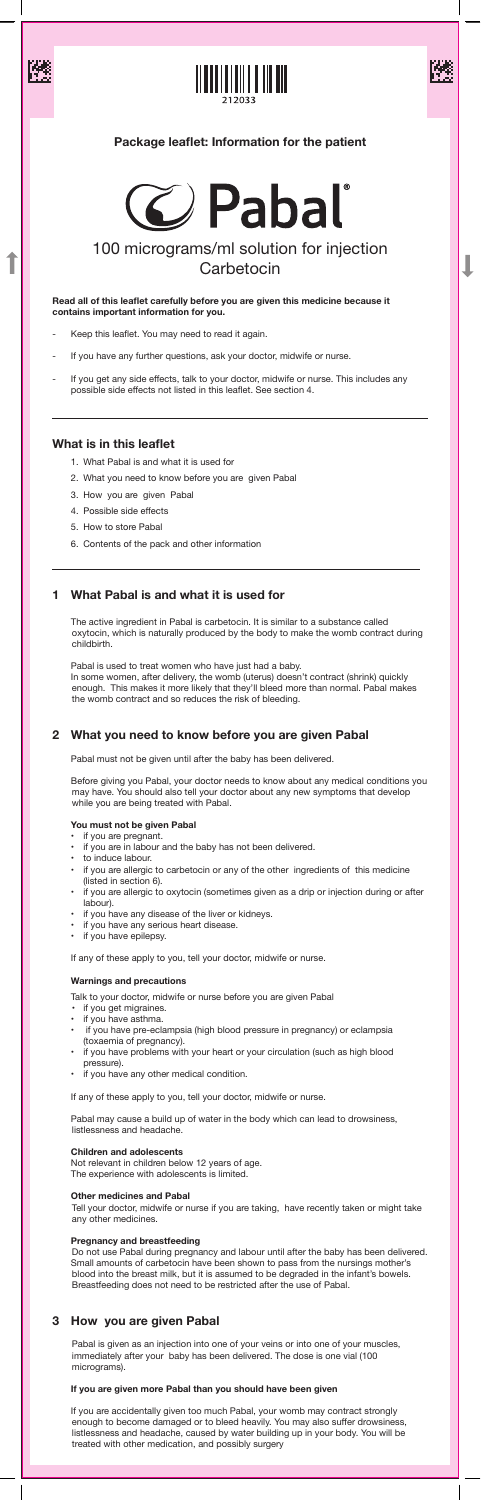





J

# 100 micrograms/ml solution for injection **Carbetocin**

**Read all of this leaflet carefully before you are given this medicine because it contains important information for you.**

- Keep this leaflet. You may need to read it again.
- If you have any further questions, ask your doctor, midwife or nurse.
- If you get any side effects, talk to your doctor, midwife or nurse. This includes any possible side effects not listed in this leaflet. See section 4.

# **What is in this leaflet**

- 1. What Pabal is and what it is used for
- 2. What you need to know before you are given Pabal
- 3. How you are given Pabal
- 4. Possible side effects
- 5. How to store Pabal
- 6. Contents of the pack and other information

# **1 What Pabal is and what it is used for**

 The active ingredient in Pabal is carbetocin. It is similar to a substance called oxytocin, which is naturally produced by the body to make the womb contract during childbirth.

 Pabal is used to treat women who have just had a baby. In some women, after delivery, the womb (uterus) doesn't contract (shrink) quickly enough. This makes it more likely that they'll bleed more than normal. Pabal makes the womb contract and so reduces the risk of bleeding.

# **2 What you need to know before you are given Pabal**

- if you get migraines.
- if you have asthma.
- if you have pre-eclampsia (high blood pressure in pregnancy) or eclampsia (toxaemia of pregnancy).
- if you have problems with your heart or your circulation (such as high blood pressure).
- • if you have any other medical condition.

Pabal must not be given until after the baby has been delivered.

Before giving you Pabal, your doctor needs to know about any medical conditions you may have. You should also tell your doctor about any new symptoms that develop while you are being treated with Pabal.

### **You must not be given Pabal**

- if you are pregnant.
- if you are in labour and the baby has not been delivered.
- to induce labour.
- if you are allergic to carbetocin or any of the other ingredients of this medicine (listed in section 6).
- if you are allergic to oxytocin (sometimes given as a drip or injection during or after labour).
- if you have any disease of the liver or kidneys.
- 
- If you have any serious heart disease.
- if you have epilepsy.

If any of these apply to you, tell your doctor, midwife or nurse.

### **Warnings and precautions**

 Talk to your doctor, midwife or nurse before you are given Pabal

 If any of these apply to you, tell your doctor, midwife or nurse.

 Pabal may cause a build up of water in the body which can lead to drowsiness, listlessness and headache.

#### **Children and adolescents**

 Not relevant in children below 12 years of age. The experience with adolescents is limited.

#### **Other medicines and Pabal**

 Tell your doctor, midwife or nurse if you are taking, have recently taken or might take any other medicines.

#### **Pregnancy and breastfeeding**

 Do not use Pabal during pregnancy and labour until after the baby has been delivered. Small amounts of carbetocin have been shown to pass from the nursings mother's blood into the breast milk, but it is assumed to be degraded in the infant's bowels. Breastfeeding does not need to be restricted after the use of Pabal.

# **3 How you are given Pabal**

 Pabal is given as an injection into one of your veins or into one of your muscles, immediately after your baby has been delivered. The dose is one vial (100 micrograms).

### **If you are given more Pabal than you should have been given**

 If you are accidentally given too much Pabal, your womb may contract strongly enough to become damaged or to bleed heavily. You may also suffer drowsiness, listlessness and headache, caused by water building up in your body. You will be treated with other medication, and possibly surgery

# **Package leaflet: Information for the patient**